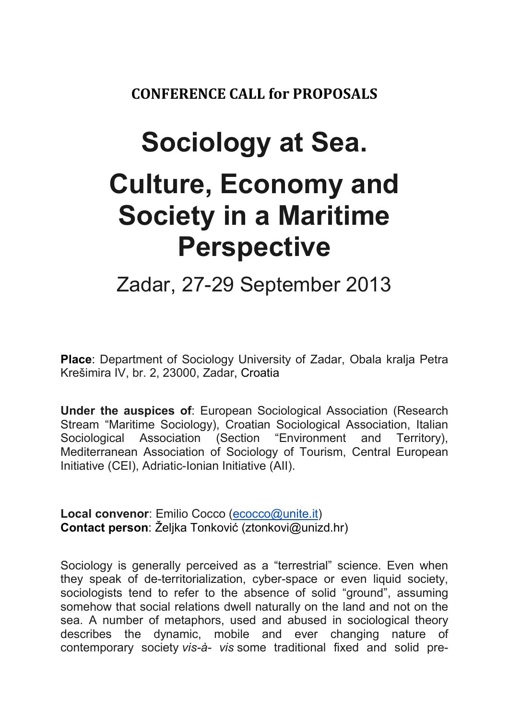CONFERENCE CALL for PROPOSALS

## Sociology at Sea. Culture, Economy and Society in a Maritime Perspective

Zadar, 27-29 September 2013

Place: Department of Sociology University of Zadar, Obala kralja Petra Krešimira IV, br. 2, 23000, Zadar, Croatia

Under the auspices of: European Sociological Association (Research Stream "Maritime Sociology), Croatian Sociological Association, Italian Sociological Association (Section "Environment and Territory), Mediterranean Association of Sociology of Tourism, Central European Initiative (CEI), Adriatic-Ionian Initiative (AII).

Local convenor: Emilio Cocco (ecocco@unite.it) Contact person: Željka Tonković (ztonkovi@unizd.hr)

Sociology is generally perceived as a "terrestrial" science. Even when they speak of de-territorialization, cyber-space or even liquid society, sociologists tend to refer to the absence of solid "ground", assuming somehow that social relations dwell naturally on the land and not on the sea. A number of metaphors, used and abused in sociological theory describes the dynamic, mobile and ever changing nature of contemporary society vis-à- vis some traditional fixed and solid pre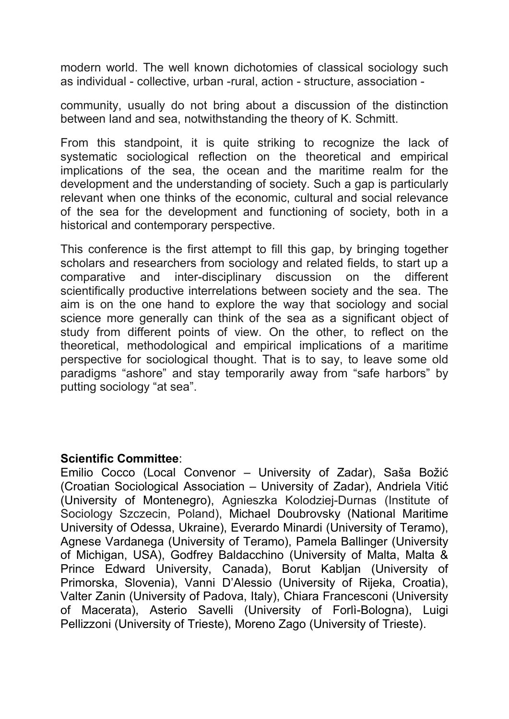modern world. The well known dichotomies of classical sociology such as individual - collective, urban -rural, action - structure, association -

community, usually do not bring about a discussion of the distinction between land and sea, notwithstanding the theory of K. Schmitt.

From this standpoint, it is quite striking to recognize the lack of systematic sociological reflection on the theoretical and empirical implications of the sea, the ocean and the maritime realm for the development and the understanding of society. Such a gap is particularly relevant when one thinks of the economic, cultural and social relevance of the sea for the development and functioning of society, both in a historical and contemporary perspective.

This conference is the first attempt to fill this gap, by bringing together scholars and researchers from sociology and related fields, to start up a comparative and inter-disciplinary discussion on the different scientifically productive interrelations between society and the sea. The aim is on the one hand to explore the way that sociology and social science more generally can think of the sea as a significant object of study from different points of view. On the other, to reflect on the theoretical, methodological and empirical implications of a maritime perspective for sociological thought. That is to say, to leave some old paradigms "ashore" and stay temporarily away from "safe harbors" by putting sociology "at sea".

## Scientific Committee:

Emilio Cocco (Local Convenor – University of Zadar), Saša Božić (Croatian Sociological Association – University of Zadar), Andriela Vitić (University of Montenegro), Agnieszka Kolodziej-Durnas (Institute of Sociology Szczecin, Poland), Michael Doubrovsky (National Maritime University of Odessa, Ukraine), Everardo Minardi (University of Teramo), Agnese Vardanega (University of Teramo), Pamela Ballinger (University of Michigan, USA), Godfrey Baldacchino (University of Malta, Malta & Prince Edward University, Canada), Borut Kabljan (University of Primorska, Slovenia), Vanni D'Alessio (University of Rijeka, Croatia), Valter Zanin (University of Padova, Italy), Chiara Francesconi (University of Macerata), Asterio Savelli (University of Forlì-Bologna), Luigi Pellizzoni (University of Trieste), Moreno Zago (University of Trieste).